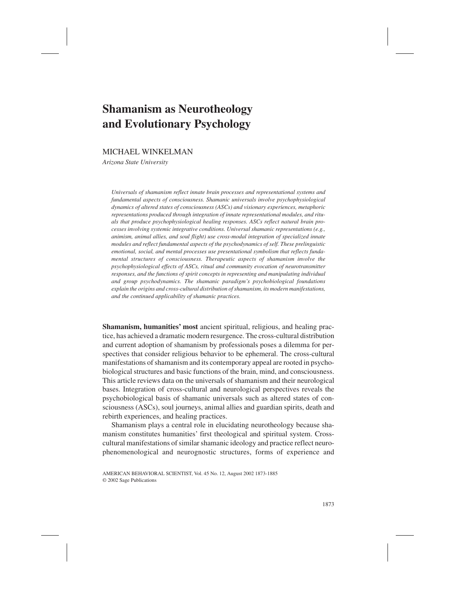# **Shamanism as Neurotheology and Evolutionary Psychology**

# MICHAEL WINKELMAN

*Arizona State University*

*Universals of shamanism reflect innate brain processes and representational systems and fundamental aspects of consciousness. Shamanic universals involve psychophysiological dynamics of altered states of consciousness (ASCs) and visionary experiences, metaphoric representations produced through integration of innate representational modules, and rituals that produce psychophysiological healing responses. ASCs reflect natural brain processes involving systemic integrative conditions. Universal shamanic representations (e.g., animism, animal allies, and soul flight) use cross-modal integration of specialized innate modules and reflect fundamental aspects of the psychodynamics of self. These prelinguistic emotional, social, and mental processes use presentational symbolism that reflects fundamental structures of consciousness. Therapeutic aspects of shamanism involve the psychophysiological effects of ASCs, ritual and community evocation of neurotransmitter responses, and the functions of spirit concepts in representing and manipulating individual and group psychodynamics. The shamanic paradigm's psychobiological foundations explain the origins and cross-cultural distribution of shamanism, its modern manifestations, and the continued applicability of shamanic practices.*

**Shamanism, humanities' most** ancient spiritual, religious, and healing practice, has achieved a dramatic modern resurgence. The cross-cultural distribution and current adoption of shamanism by professionals poses a dilemma for perspectives that consider religious behavior to be ephemeral. The cross-cultural manifestations of shamanism and its contemporary appeal are rooted in psychobiological structures and basic functions of the brain, mind, and consciousness. This article reviews data on the universals of shamanism and their neurological bases. Integration of cross-cultural and neurological perspectives reveals the psychobiological basis of shamanic universals such as altered states of consciousness (ASCs), soul journeys, animal allies and guardian spirits, death and rebirth experiences, and healing practices.

Shamanism plays a central role in elucidating neurotheology because shamanism constitutes humanities' first theological and spiritual system. Crosscultural manifestations of similar shamanic ideology and practice reflect neurophenomenological and neurognostic structures, forms of experience and

AMERICAN BEHAVIORAL SCIENTIST, Vol. 45 No. 12, August 2002 1873-1885 © 2002 Sage Publications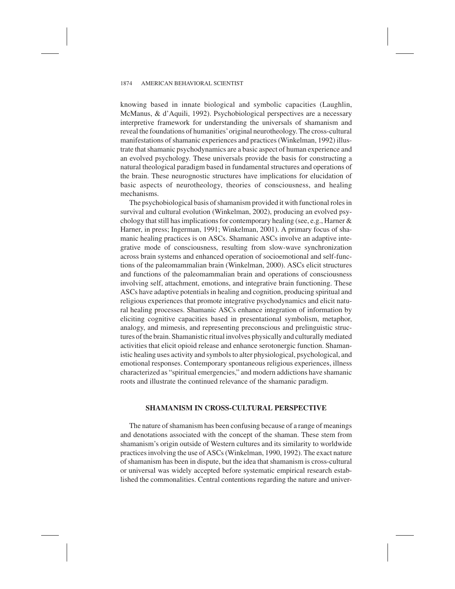knowing based in innate biological and symbolic capacities (Laughlin, McManus, & d'Aquili, 1992). Psychobiological perspectives are a necessary interpretive framework for understanding the universals of shamanism and reveal the foundations of humanities'original neurotheology. The cross-cultural manifestations of shamanic experiences and practices (Winkelman, 1992) illustrate that shamanic psychodynamics are a basic aspect of human experience and an evolved psychology. These universals provide the basis for constructing a natural theological paradigm based in fundamental structures and operations of the brain. These neurognostic structures have implications for elucidation of basic aspects of neurotheology, theories of consciousness, and healing mechanisms.

The psychobiological basis of shamanism provided it with functional roles in survival and cultural evolution (Winkelman, 2002), producing an evolved psychology that still has implications for contemporary healing (see, e.g., Harner & Harner, in press; Ingerman, 1991; Winkelman, 2001). A primary focus of shamanic healing practices is on ASCs. Shamanic ASCs involve an adaptive integrative mode of consciousness, resulting from slow-wave synchronization across brain systems and enhanced operation of socioemotional and self-functions of the paleomammalian brain (Winkelman, 2000). ASCs elicit structures and functions of the paleomammalian brain and operations of consciousness involving self, attachment, emotions, and integrative brain functioning. These ASCs have adaptive potentials in healing and cognition, producing spiritual and religious experiences that promote integrative psychodynamics and elicit natural healing processes. Shamanic ASCs enhance integration of information by eliciting cognitive capacities based in presentational symbolism, metaphor, analogy, and mimesis, and representing preconscious and prelinguistic structures of the brain. Shamanistic ritual involves physically and culturally mediated activities that elicit opioid release and enhance serotonergic function. Shamanistic healing uses activity and symbols to alter physiological, psychological, and emotional responses. Contemporary spontaneous religious experiences, illness characterized as "spiritual emergencies," and modern addictions have shamanic roots and illustrate the continued relevance of the shamanic paradigm.

# **SHAMANISM IN CROSS-CULTURAL PERSPECTIVE**

The nature of shamanism has been confusing because of a range of meanings and denotations associated with the concept of the shaman. These stem from shamanism's origin outside of Western cultures and its similarity to worldwide practices involving the use of ASCs (Winkelman, 1990, 1992). The exact nature of shamanism has been in dispute, but the idea that shamanism is cross-cultural or universal was widely accepted before systematic empirical research established the commonalities. Central contentions regarding the nature and univer-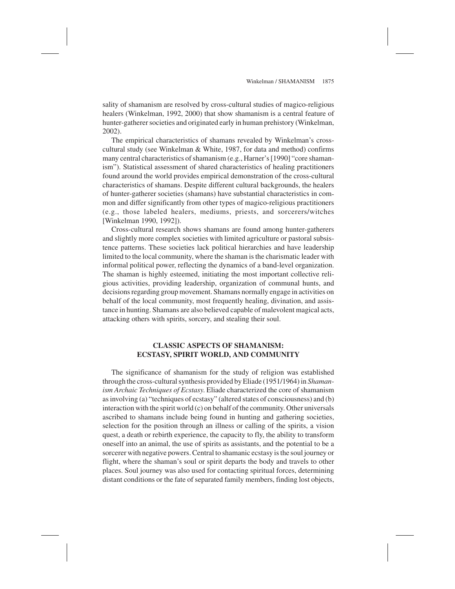sality of shamanism are resolved by cross-cultural studies of magico-religious healers (Winkelman, 1992, 2000) that show shamanism is a central feature of hunter-gatherer societies and originated early in human prehistory (Winkelman, 2002).

The empirical characteristics of shamans revealed by Winkelman's crosscultural study (see Winkelman & White, 1987, for data and method) confirms many central characteristics of shamanism (e.g., Harner's [1990] "core shamanism"). Statistical assessment of shared characteristics of healing practitioners found around the world provides empirical demonstration of the cross-cultural characteristics of shamans. Despite different cultural backgrounds, the healers of hunter-gatherer societies (shamans) have substantial characteristics in common and differ significantly from other types of magico-religious practitioners (e.g., those labeled healers, mediums, priests, and sorcerers/witches [Winkelman 1990, 1992]).

Cross-cultural research shows shamans are found among hunter-gatherers and slightly more complex societies with limited agriculture or pastoral subsistence patterns. These societies lack political hierarchies and have leadership limited to the local community, where the shaman is the charismatic leader with informal political power, reflecting the dynamics of a band-level organization. The shaman is highly esteemed, initiating the most important collective religious activities, providing leadership, organization of communal hunts, and decisions regarding group movement. Shamans normally engage in activities on behalf of the local community, most frequently healing, divination, and assistance in hunting. Shamans are also believed capable of malevolent magical acts, attacking others with spirits, sorcery, and stealing their soul.

# **CLASSIC ASPECTS OF SHAMANISM: ECSTASY, SPIRIT WORLD, AND COMMUNITY**

The significance of shamanism for the study of religion was established through the cross-cultural synthesis provided by Eliade (1951/1964) in *Shamanism Archaic Techniques of Ecstasy*. Eliade characterized the core of shamanism as involving (a) "techniques of ecstasy" (altered states of consciousness) and (b) interaction with the spirit world (c) on behalf of the community. Other universals ascribed to shamans include being found in hunting and gathering societies, selection for the position through an illness or calling of the spirits, a vision quest, a death or rebirth experience, the capacity to fly, the ability to transform oneself into an animal, the use of spirits as assistants, and the potential to be a sorcerer with negative powers. Central to shamanic ecstasy is the soul journey or flight, where the shaman's soul or spirit departs the body and travels to other places. Soul journey was also used for contacting spiritual forces, determining distant conditions or the fate of separated family members, finding lost objects,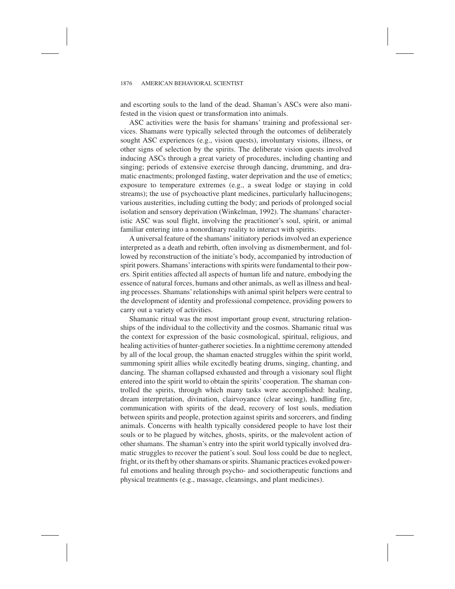and escorting souls to the land of the dead. Shaman's ASCs were also manifested in the vision quest or transformation into animals.

ASC activities were the basis for shamans' training and professional services. Shamans were typically selected through the outcomes of deliberately sought ASC experiences (e.g., vision quests), involuntary visions, illness, or other signs of selection by the spirits. The deliberate vision quests involved inducing ASCs through a great variety of procedures, including chanting and singing; periods of extensive exercise through dancing, drumming, and dramatic enactments; prolonged fasting, water deprivation and the use of emetics; exposure to temperature extremes (e.g., a sweat lodge or staying in cold streams); the use of psychoactive plant medicines, particularly hallucinogens; various austerities, including cutting the body; and periods of prolonged social isolation and sensory deprivation (Winkelman, 1992). The shamans' characteristic ASC was soul flight, involving the practitioner's soul, spirit, or animal familiar entering into a nonordinary reality to interact with spirits.

A universal feature of the shamans'initiatory periods involved an experience interpreted as a death and rebirth, often involving as dismemberment, and followed by reconstruction of the initiate's body, accompanied by introduction of spirit powers. Shamans'interactions with spirits were fundamental to their powers. Spirit entities affected all aspects of human life and nature, embodying the essence of natural forces, humans and other animals, as well as illness and healing processes. Shamans'relationships with animal spirit helpers were central to the development of identity and professional competence, providing powers to carry out a variety of activities.

Shamanic ritual was the most important group event, structuring relationships of the individual to the collectivity and the cosmos. Shamanic ritual was the context for expression of the basic cosmological, spiritual, religious, and healing activities of hunter-gatherer societies. In a nighttime ceremony attended by all of the local group, the shaman enacted struggles within the spirit world, summoning spirit allies while excitedly beating drums, singing, chanting, and dancing. The shaman collapsed exhausted and through a visionary soul flight entered into the spirit world to obtain the spirits' cooperation. The shaman controlled the spirits, through which many tasks were accomplished: healing, dream interpretation, divination, clairvoyance (clear seeing), handling fire, communication with spirits of the dead, recovery of lost souls, mediation between spirits and people, protection against spirits and sorcerers, and finding animals. Concerns with health typically considered people to have lost their souls or to be plagued by witches, ghosts, spirits, or the malevolent action of other shamans. The shaman's entry into the spirit world typically involved dramatic struggles to recover the patient's soul. Soul loss could be due to neglect, fright, or its theft by other shamans or spirits. Shamanic practices evoked powerful emotions and healing through psycho- and sociotherapeutic functions and physical treatments (e.g., massage, cleansings, and plant medicines).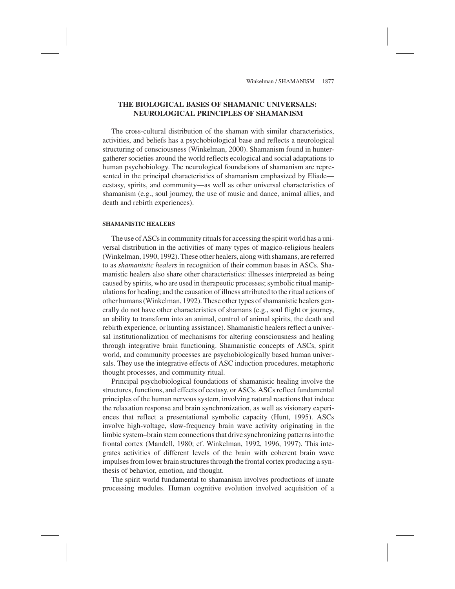# **THE BIOLOGICAL BASES OF SHAMANIC UNIVERSALS: NEUROLOGICAL PRINCIPLES OF SHAMANISM**

The cross-cultural distribution of the shaman with similar characteristics, activities, and beliefs has a psychobiological base and reflects a neurological structuring of consciousness (Winkelman, 2000). Shamanism found in huntergatherer societies around the world reflects ecological and social adaptations to human psychobiology. The neurological foundations of shamanism are represented in the principal characteristics of shamanism emphasized by Eliade ecstasy, spirits, and community—as well as other universal characteristics of shamanism (e.g., soul journey, the use of music and dance, animal allies, and death and rebirth experiences).

## **SHAMANISTIC HEALERS**

The use of ASCs in community rituals for accessing the spirit world has a universal distribution in the activities of many types of magico-religious healers (Winkelman, 1990, 1992). These other healers, along with shamans, are referred to as *shamanistic healers* in recognition of their common bases in ASCs. Shamanistic healers also share other characteristics: illnesses interpreted as being caused by spirits, who are used in therapeutic processes; symbolic ritual manipulations for healing; and the causation of illness attributed to the ritual actions of other humans (Winkelman, 1992). These other types of shamanistic healers generally do not have other characteristics of shamans (e.g., soul flight or journey, an ability to transform into an animal, control of animal spirits, the death and rebirth experience, or hunting assistance). Shamanistic healers reflect a universal institutionalization of mechanisms for altering consciousness and healing through integrative brain functioning. Shamanistic concepts of ASCs, spirit world, and community processes are psychobiologically based human universals. They use the integrative effects of ASC induction procedures, metaphoric thought processes, and community ritual.

Principal psychobiological foundations of shamanistic healing involve the structures, functions, and effects of ecstasy, or ASCs. ASCs reflect fundamental principles of the human nervous system, involving natural reactions that induce the relaxation response and brain synchronization, as well as visionary experiences that reflect a presentational symbolic capacity (Hunt, 1995). ASCs involve high-voltage, slow-frequency brain wave activity originating in the limbic system–brain stem connections that drive synchronizing patterns into the frontal cortex (Mandell, 1980; cf. Winkelman, 1992, 1996, 1997). This integrates activities of different levels of the brain with coherent brain wave impulses from lower brain structures through the frontal cortex producing a synthesis of behavior, emotion, and thought.

The spirit world fundamental to shamanism involves productions of innate processing modules. Human cognitive evolution involved acquisition of a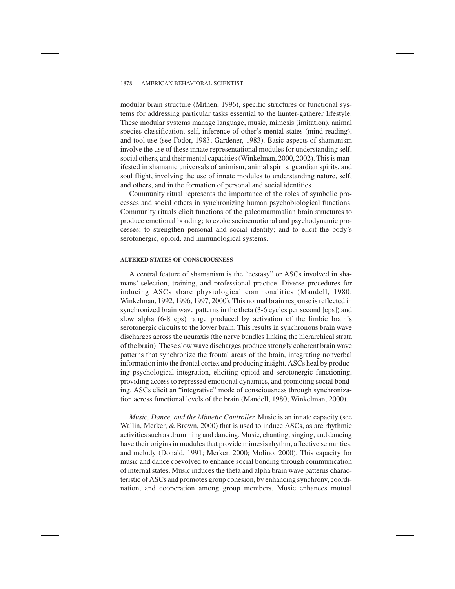modular brain structure (Mithen, 1996), specific structures or functional systems for addressing particular tasks essential to the hunter-gatherer lifestyle. These modular systems manage language, music, mimesis (imitation), animal species classification, self, inference of other's mental states (mind reading), and tool use (see Fodor, 1983; Gardener, 1983). Basic aspects of shamanism involve the use of these innate representational modules for understanding self, social others, and their mental capacities (Winkelman, 2000, 2002). This is manifested in shamanic universals of animism, animal spirits, guardian spirits, and soul flight, involving the use of innate modules to understanding nature, self, and others, and in the formation of personal and social identities.

Community ritual represents the importance of the roles of symbolic processes and social others in synchronizing human psychobiological functions. Community rituals elicit functions of the paleomammalian brain structures to produce emotional bonding; to evoke socioemotional and psychodynamic processes; to strengthen personal and social identity; and to elicit the body's serotonergic, opioid, and immunological systems.

## **ALTERED STATES OF CONSCIOUSNESS**

A central feature of shamanism is the "ecstasy" or ASCs involved in shamans' selection, training, and professional practice. Diverse procedures for inducing ASCs share physiological commonalities (Mandell, 1980; Winkelman, 1992, 1996, 1997, 2000). This normal brain response is reflected in synchronized brain wave patterns in the theta (3-6 cycles per second [cps]) and slow alpha (6-8 cps) range produced by activation of the limbic brain's serotonergic circuits to the lower brain. This results in synchronous brain wave discharges across the neuraxis (the nerve bundles linking the hierarchical strata of the brain). These slow wave discharges produce strongly coherent brain wave patterns that synchronize the frontal areas of the brain, integrating nonverbal information into the frontal cortex and producing insight. ASCs heal by producing psychological integration, eliciting opioid and serotonergic functioning, providing access to repressed emotional dynamics, and promoting social bonding. ASCs elicit an "integrative" mode of consciousness through synchronization across functional levels of the brain (Mandell, 1980; Winkelman, 2000).

*Music, Dance, and the Mimetic Controller*. Music is an innate capacity (see Wallin, Merker, & Brown, 2000) that is used to induce ASCs, as are rhythmic activities such as drumming and dancing. Music, chanting, singing, and dancing have their origins in modules that provide mimesis rhythm, affective semantics, and melody (Donald, 1991; Merker, 2000; Molino, 2000). This capacity for music and dance coevolved to enhance social bonding through communication of internal states. Music induces the theta and alpha brain wave patterns characteristic of ASCs and promotes group cohesion, by enhancing synchrony, coordination, and cooperation among group members. Music enhances mutual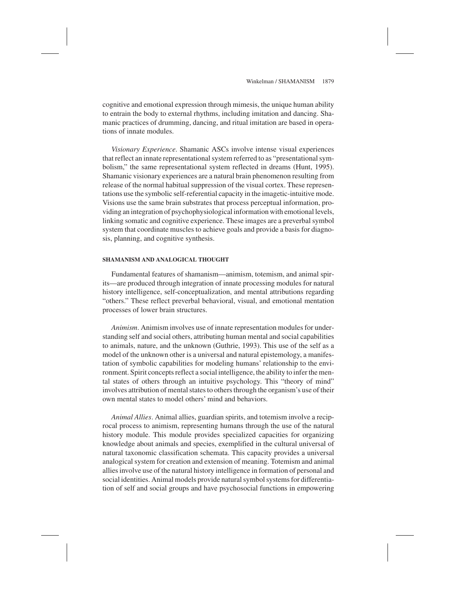cognitive and emotional expression through mimesis, the unique human ability to entrain the body to external rhythms, including imitation and dancing. Shamanic practices of drumming, dancing, and ritual imitation are based in operations of innate modules.

*Visionary Experience*. Shamanic ASCs involve intense visual experiences that reflect an innate representational system referred to as "presentational symbolism," the same representational system reflected in dreams (Hunt, 1995). Shamanic visionary experiences are a natural brain phenomenon resulting from release of the normal habitual suppression of the visual cortex. These representations use the symbolic self-referential capacity in the imagetic-intuitive mode. Visions use the same brain substrates that process perceptual information, providing an integration of psychophysiological information with emotional levels, linking somatic and cognitive experience. These images are a preverbal symbol system that coordinate muscles to achieve goals and provide a basis for diagnosis, planning, and cognitive synthesis.

## **SHAMANISM AND ANALOGICAL THOUGHT**

Fundamental features of shamanism—animism, totemism, and animal spirits—are produced through integration of innate processing modules for natural history intelligence, self-conceptualization, and mental attributions regarding "others." These reflect preverbal behavioral, visual, and emotional mentation processes of lower brain structures.

*Animism*. Animism involves use of innate representation modules for understanding self and social others, attributing human mental and social capabilities to animals, nature, and the unknown (Guthrie, 1993). This use of the self as a model of the unknown other is a universal and natural epistemology, a manifestation of symbolic capabilities for modeling humans' relationship to the environment. Spirit concepts reflect a social intelligence, the ability to infer the mental states of others through an intuitive psychology. This "theory of mind" involves attribution of mental states to others through the organism's use of their own mental states to model others' mind and behaviors.

*Animal Allies*. Animal allies, guardian spirits, and totemism involve a reciprocal process to animism, representing humans through the use of the natural history module. This module provides specialized capacities for organizing knowledge about animals and species, exemplified in the cultural universal of natural taxonomic classification schemata. This capacity provides a universal analogical system for creation and extension of meaning. Totemism and animal allies involve use of the natural history intelligence in formation of personal and social identities. Animal models provide natural symbol systems for differentiation of self and social groups and have psychosocial functions in empowering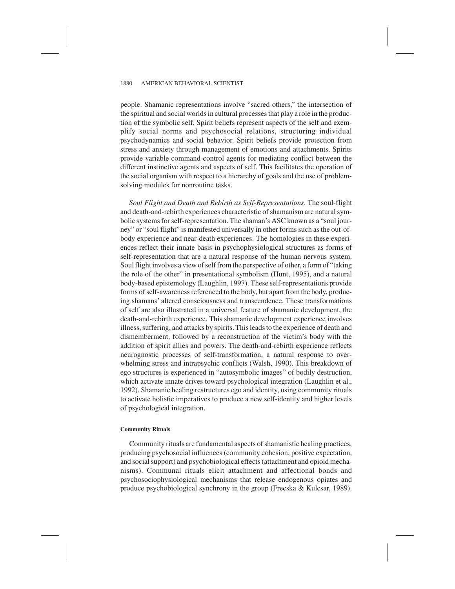people. Shamanic representations involve "sacred others," the intersection of the spiritual and social worlds in cultural processes that play a role in the production of the symbolic self. Spirit beliefs represent aspects of the self and exemplify social norms and psychosocial relations, structuring individual psychodynamics and social behavior. Spirit beliefs provide protection from stress and anxiety through management of emotions and attachments. Spirits provide variable command-control agents for mediating conflict between the different instinctive agents and aspects of self. This facilitates the operation of the social organism with respect to a hierarchy of goals and the use of problemsolving modules for nonroutine tasks.

*Soul Flight and Death and Rebirth as Self-Representations*. The soul-flight and death-and-rebirth experiences characteristic of shamanism are natural symbolic systems for self-representation. The shaman's ASC known as a "soul journey" or "soul flight" is manifested universally in other forms such as the out-ofbody experience and near-death experiences. The homologies in these experiences reflect their innate basis in psychophysiological structures as forms of self-representation that are a natural response of the human nervous system. Soul flight involves a view of self from the perspective of other, a form of "taking the role of the other" in presentational symbolism (Hunt, 1995), and a natural body-based epistemology (Laughlin, 1997). These self-representations provide forms of self-awareness referenced to the body, but apart from the body, producing shamans' altered consciousness and transcendence. These transformations of self are also illustrated in a universal feature of shamanic development, the death-and-rebirth experience. This shamanic development experience involves illness, suffering, and attacks by spirits. This leads to the experience of death and dismemberment, followed by a reconstruction of the victim's body with the addition of spirit allies and powers. The death-and-rebirth experience reflects neurognostic processes of self-transformation, a natural response to overwhelming stress and intrapsychic conflicts (Walsh, 1990). This breakdown of ego structures is experienced in "autosymbolic images" of bodily destruction, which activate innate drives toward psychological integration (Laughlin et al., 1992). Shamanic healing restructures ego and identity, using community rituals to activate holistic imperatives to produce a new self-identity and higher levels of psychological integration.

### **Community Rituals**

Community rituals are fundamental aspects of shamanistic healing practices, producing psychosocial influences (community cohesion, positive expectation, and social support) and psychobiological effects (attachment and opioid mechanisms). Communal rituals elicit attachment and affectional bonds and psychosociophysiological mechanisms that release endogenous opiates and produce psychobiological synchrony in the group (Frecska & Kulcsar, 1989).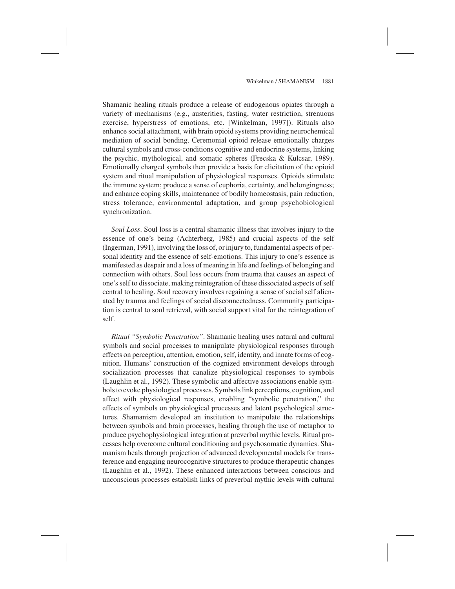#### Winkelman / SHAMANISM 1881

Shamanic healing rituals produce a release of endogenous opiates through a variety of mechanisms (e.g., austerities, fasting, water restriction, strenuous exercise, hyperstress of emotions, etc. [Winkelman, 1997]). Rituals also enhance social attachment, with brain opioid systems providing neurochemical mediation of social bonding. Ceremonial opioid release emotionally charges cultural symbols and cross-conditions cognitive and endocrine systems, linking the psychic, mythological, and somatic spheres (Frecska & Kulcsar, 1989). Emotionally charged symbols then provide a basis for elicitation of the opioid system and ritual manipulation of physiological responses. Opioids stimulate the immune system; produce a sense of euphoria, certainty, and belongingness; and enhance coping skills, maintenance of bodily homeostasis, pain reduction, stress tolerance, environmental adaptation, and group psychobiological synchronization.

*Soul Loss*. Soul loss is a central shamanic illness that involves injury to the essence of one's being (Achterberg, 1985) and crucial aspects of the self (Ingerman, 1991), involving the loss of, or injury to, fundamental aspects of personal identity and the essence of self-emotions. This injury to one's essence is manifested as despair and a loss of meaning in life and feelings of belonging and connection with others. Soul loss occurs from trauma that causes an aspect of one's self to dissociate, making reintegration of these dissociated aspects of self central to healing. Soul recovery involves regaining a sense of social self alienated by trauma and feelings of social disconnectedness. Community participation is central to soul retrieval, with social support vital for the reintegration of self.

*Ritual "Symbolic Penetration"*. Shamanic healing uses natural and cultural symbols and social processes to manipulate physiological responses through effects on perception, attention, emotion, self, identity, and innate forms of cognition. Humans' construction of the cognized environment develops through socialization processes that canalize physiological responses to symbols (Laughlin et al., 1992). These symbolic and affective associations enable symbols to evoke physiological processes. Symbols link perceptions, cognition, and affect with physiological responses, enabling "symbolic penetration," the effects of symbols on physiological processes and latent psychological structures. Shamanism developed an institution to manipulate the relationships between symbols and brain processes, healing through the use of metaphor to produce psychophysiological integration at preverbal mythic levels. Ritual processes help overcome cultural conditioning and psychosomatic dynamics. Shamanism heals through projection of advanced developmental models for transference and engaging neurocognitive structures to produce therapeutic changes (Laughlin et al., 1992). These enhanced interactions between conscious and unconscious processes establish links of preverbal mythic levels with cultural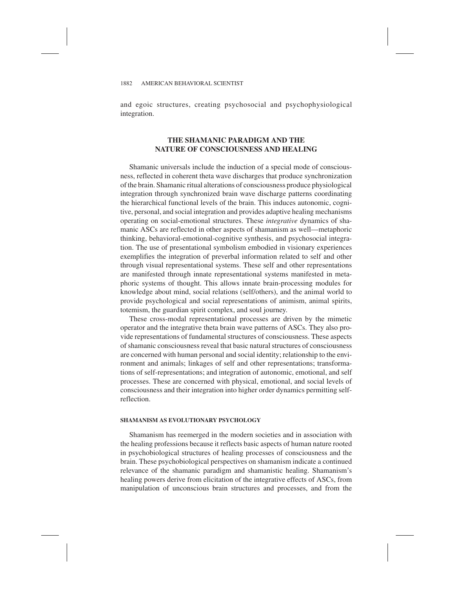and egoic structures, creating psychosocial and psychophysiological integration.

# **THE SHAMANIC PARADIGM AND THE NATURE OF CONSCIOUSNESS AND HEALING**

Shamanic universals include the induction of a special mode of consciousness, reflected in coherent theta wave discharges that produce synchronization of the brain. Shamanic ritual alterations of consciousness produce physiological integration through synchronized brain wave discharge patterns coordinating the hierarchical functional levels of the brain. This induces autonomic, cognitive, personal, and social integration and provides adaptive healing mechanisms operating on social-emotional structures. These *integrative* dynamics of shamanic ASCs are reflected in other aspects of shamanism as well—metaphoric thinking, behavioral-emotional-cognitive synthesis, and psychosocial integration. The use of presentational symbolism embodied in visionary experiences exemplifies the integration of preverbal information related to self and other through visual representational systems. These self and other representations are manifested through innate representational systems manifested in metaphoric systems of thought. This allows innate brain-processing modules for knowledge about mind, social relations (self/others), and the animal world to provide psychological and social representations of animism, animal spirits, totemism, the guardian spirit complex, and soul journey.

These cross-modal representational processes are driven by the mimetic operator and the integrative theta brain wave patterns of ASCs. They also provide representations of fundamental structures of consciousness. These aspects of shamanic consciousness reveal that basic natural structures of consciousness are concerned with human personal and social identity; relationship to the environment and animals; linkages of self and other representations; transformations of self-representations; and integration of autonomic, emotional, and self processes. These are concerned with physical, emotional, and social levels of consciousness and their integration into higher order dynamics permitting selfreflection.

## **SHAMANISM AS EVOLUTIONARY PSYCHOLOGY**

Shamanism has reemerged in the modern societies and in association with the healing professions because it reflects basic aspects of human nature rooted in psychobiological structures of healing processes of consciousness and the brain. These psychobiological perspectives on shamanism indicate a continued relevance of the shamanic paradigm and shamanistic healing. Shamanism's healing powers derive from elicitation of the integrative effects of ASCs, from manipulation of unconscious brain structures and processes, and from the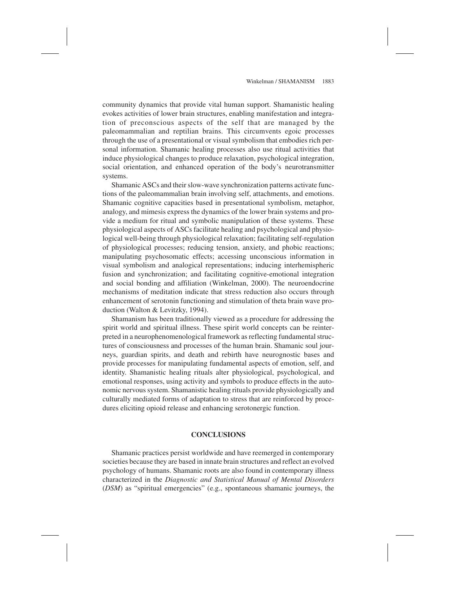#### Winkelman / SHAMANISM 1883

community dynamics that provide vital human support. Shamanistic healing evokes activities of lower brain structures, enabling manifestation and integration of preconscious aspects of the self that are managed by the paleomammalian and reptilian brains. This circumvents egoic processes through the use of a presentational or visual symbolism that embodies rich personal information. Shamanic healing processes also use ritual activities that induce physiological changes to produce relaxation, psychological integration, social orientation, and enhanced operation of the body's neurotransmitter systems.

Shamanic ASCs and their slow-wave synchronization patterns activate functions of the paleomammalian brain involving self, attachments, and emotions. Shamanic cognitive capacities based in presentational symbolism, metaphor, analogy, and mimesis express the dynamics of the lower brain systems and provide a medium for ritual and symbolic manipulation of these systems. These physiological aspects of ASCs facilitate healing and psychological and physiological well-being through physiological relaxation; facilitating self-regulation of physiological processes; reducing tension, anxiety, and phobic reactions; manipulating psychosomatic effects; accessing unconscious information in visual symbolism and analogical representations; inducing interhemispheric fusion and synchronization; and facilitating cognitive-emotional integration and social bonding and affiliation (Winkelman, 2000). The neuroendocrine mechanisms of meditation indicate that stress reduction also occurs through enhancement of serotonin functioning and stimulation of theta brain wave production (Walton & Levitzky, 1994).

Shamanism has been traditionally viewed as a procedure for addressing the spirit world and spiritual illness. These spirit world concepts can be reinterpreted in a neurophenomenological framework as reflecting fundamental structures of consciousness and processes of the human brain. Shamanic soul journeys, guardian spirits, and death and rebirth have neurognostic bases and provide processes for manipulating fundamental aspects of emotion, self, and identity. Shamanistic healing rituals alter physiological, psychological, and emotional responses, using activity and symbols to produce effects in the autonomic nervous system. Shamanistic healing rituals provide physiologically and culturally mediated forms of adaptation to stress that are reinforced by procedures eliciting opioid release and enhancing serotonergic function.

# **CONCLUSIONS**

Shamanic practices persist worldwide and have reemerged in contemporary societies because they are based in innate brain structures and reflect an evolved psychology of humans. Shamanic roots are also found in contemporary illness characterized in the *Diagnostic and Statistical Manual of Mental Disorders* (*DSM*) as "spiritual emergencies" (e.g., spontaneous shamanic journeys, the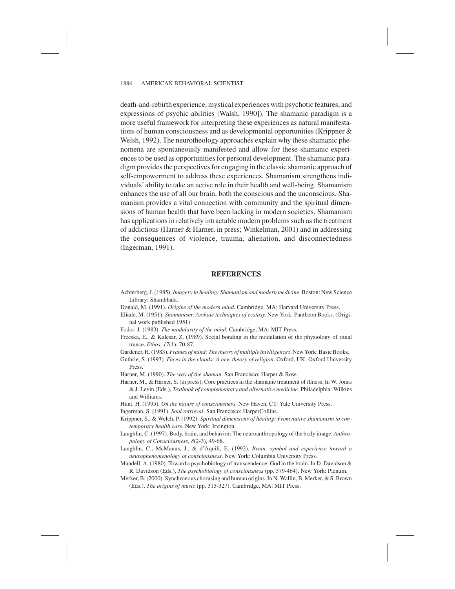death-and-rebirth experience, mystical experiences with psychotic features, and expressions of psychic abilities [Walsh, 1990]). The shamanic paradigm is a more useful framework for interpreting these experiences as natural manifestations of human consciousness and as developmental opportunities (Krippner & Welsh, 1992). The neurotheology approaches explain why these shamanic phenomena are spontaneously manifested and allow for these shamanic experiences to be used as opportunities for personal development. The shamanic paradigm provides the perspectives for engaging in the classic shamanic approach of self-empowerment to address these experiences. Shamanism strengthens individuals' ability to take an active role in their health and well-being. Shamanism enhances the use of all our brain, both the conscious and the unconscious. Shamanism provides a vital connection with community and the spiritual dimensions of human health that have been lacking in modern societies. Shamanism has applications in relatively intractable modern problems such as the treatment of addictions (Harner & Harner, in press; Winkelman, 2001) and in addressing the consequences of violence, trauma, alienation, and disconnectedness (Ingerman, 1991).

## **REFERENCES**

- Achterberg, J. (1985). *Imagery in healing: Shamanism and modern medicine*. Boston: New Science Library: Shambhala.
- Donald, M. (1991). *Origins of the modern mind*. Cambridge, MA: Harvard University Press.
- Eliade, M. (1951). *Shamanism: Archaic techniques of ecstasy*. New York: Pantheon Books. (Original work published 1951)
- Fodor, J. (1983). *The modularity of the mind*. Cambridge, MA: MIT Press.
- Frecska, E., & Kulcsar, Z. (1989). Social bonding in the modulation of the physiology of ritual trance. *Ethos*, *17*(1), 70-87.
- Gardener, H. (1983).*Frames of mind: The theory of multiple intelligences*. New York: Basic Books.
- Guthrie, S. (1993). *Faces in the clouds: A new theory of religion*. Oxford, UK: Oxford University Press.

Harner, M. (1990). *The way of the shaman*. San Francisco: Harper & Row.

Harner, M., & Harner, S. (in press). Core practices in the shamanic treatment of illness. In W. Jonas & J. Levin (Eds.), *Textbook of complementary and alternative medicine*. Philadelphia: Wilkins and Williams.

Hunt, H. (1995). *On the nature of consciousness*. New Haven, CT: Yale University Press.

- Ingerman, S. (1991). *Soul retrieval*. San Francisco: HarperCollins.
- Krippner, S., & Welch, P. (1992). *Spiritual dimensions of healing: From native shamanism to contemporary health care*. New York: Irvington.
- Laughlin, C. (1997). Body, brain, and behavior: The neuroanthropology of the body image. *Anthropology of Consciousness*, *8*(2-3), 49-68.
- Laughlin, C., McManus, J., & d'Aquili, E. (1992). *Brain, symbol and experience toward a neurophenomenology of consciousness*. New York: Columbia University Press.
- Mandell, A. (1980). Toward a psychobiology of transcendence: God in the brain. In D. Davidson & R. Davidson (Eds.), *The psychobiology of consciousness* (pp. 379-464). New York: Plenum.
- Merker, B. (2000). Synchronous chorusing and human origins. In N. Wallin, B. Merker, & S. Brown (Eds.), *The origins of music* (pp. 315-327). Cambridge, MA: MIT Press.